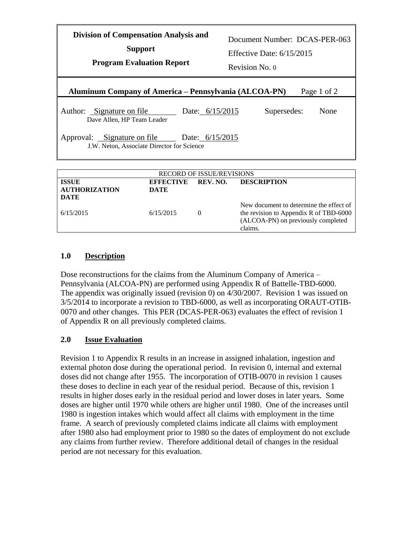| <b>Division of Compensation Analysis and</b><br><b>Support</b><br><b>Program Evaluation Report</b> |                                                                                           |                   | Document Number: DCAS-PER-063<br>Effective Date: $6/15/2015$<br>Revision No. 0 |                    |      |  |  |  |
|----------------------------------------------------------------------------------------------------|-------------------------------------------------------------------------------------------|-------------------|--------------------------------------------------------------------------------|--------------------|------|--|--|--|
| Aluminum Company of America – Pennsylvania (ALCOA-PN)<br>Page 1 of 2                               |                                                                                           |                   |                                                                                |                    |      |  |  |  |
|                                                                                                    | Author: Signature on file<br>Dave Allen, HP Team Leader                                   | Date: $6/15/2015$ |                                                                                | Supersedes:        | None |  |  |  |
|                                                                                                    | Approval: Signature on file Date: 6/15/2015<br>J.W. Neton, Associate Director for Science |                   |                                                                                |                    |      |  |  |  |
| <b>RECORD OF ISSUE/REVISIONS</b>                                                                   |                                                                                           |                   |                                                                                |                    |      |  |  |  |
| <b>ISSUE</b>                                                                                       | <b>EFFECTIVE</b>                                                                          | REV. NO.          |                                                                                | <b>DESCRIPTION</b> |      |  |  |  |

| <b>ISSUE</b><br><b>AUTHORIZATION</b><br>DATE | <b>EFFECTIVE</b><br><b>DATE</b> | REV. NO. | <b>DESCRIPTION</b>                                                                                                                 |
|----------------------------------------------|---------------------------------|----------|------------------------------------------------------------------------------------------------------------------------------------|
| 6/15/2015                                    | 6/15/2015                       | $\Omega$ | New document to determine the effect of<br>the revision to Appendix R of TBD-6000<br>(ALCOA-PN) on previously completed<br>claims. |

## **1.0 Description**

Dose reconstructions for the claims from the Aluminum Company of America – Pennsylvania (ALCOA-PN) are performed using Appendix R of Battelle-TBD-6000. The appendix was originally issued (revision 0) on 4/30/2007. Revision 1 was issued on 3/5/2014 to incorporate a revision to TBD-6000, as well as incorporating ORAUT-OTIB-0070 and other changes. This PER (DCAS-PER-063) evaluates the effect of revision 1 of Appendix R on all previously completed claims.

## **2.0 Issue Evaluation**

Revision 1 to Appendix R results in an increase in assigned inhalation, ingestion and external photon dose during the operational period. In revision 0, internal and external doses did not change after 1955. The incorporation of OTIB-0070 in revision 1 causes these doses to decline in each year of the residual period. Because of this, revision 1 results in higher doses early in the residual period and lower doses in later years. Some doses are higher until 1970 while others are higher until 1980. One of the increases until 1980 is ingestion intakes which would affect all claims with employment in the time frame. A search of previously completed claims indicate all claims with employment after 1980 also had employment prior to 1980 so the dates of employment do not exclude any claims from further review. Therefore additional detail of changes in the residual period are not necessary for this evaluation.